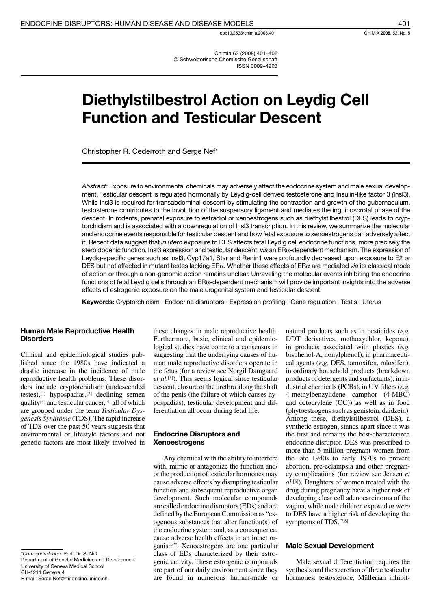doi:10.2533/chimia.2008.401

Chimia 62 (2008) 401-405 © Schweizerische Chemische Gesellschaft **ISSN 0009-4293** 

# **Diethylstilbestrol Action on Leydig Cell Function and Testicular Descent**

Christopher R. Cederroth and Serge Nef\*

Abstract: Exposure to environmental chemicals may adversely affect the endocrine system and male sexual development. Testicular descent is regulated hormonally by Leydig-cell derived testosterone and Insulin-like factor 3 (Insl3). While InsI3 is required for transabdominal descent by stimulating the contraction and growth of the gubernaculum, testosterone contributes to the involution of the suspensory ligament and mediates the inguinoscrotal phase of the descent. In rodents, prenatal exposure to estradiol or xenoestrogens such as diethylstilbestrol (DES) leads to cryptorchidism and is associated with a downregulation of Insl3 transcription. In this review, we summarize the molecular and endocrine events responsible for testicular descent and how fetal exposure to xenoestrogens can adversely affect it. Recent data suggest that in utero exposure to DES affects fetal Leydig cell endocrine functions, more precisely the steroidogenic function, Insl3 expression and testicular descent, via an  $ER\alpha$ -dependent mechanism. The expression of Leydig-specific genes such as Insl3, Cyp17a1, Star and Renin1 were profoundly decreased upon exposure to E2 or DES but not affected in mutant testes lacking  $ER\alpha$ . Whether these effects of  $ER\alpha$  are mediated via its classical mode of action or through a non-genomic action remains unclear. Unraveling the molecular events inhibiting the endocrine functions of fetal Leydig cells through an ER $\alpha$ -dependent mechanism will provide important insights into the adverse effects of estrogenic exposure on the male urogenital system and testicular descent.

Keywords: Cryptorchidism · Endocrine disruptors · Expression profiling · Gene regulation · Testis · Uterus

### **Human Male Reproductive Health Disorders**

Clinical and epidemiological studies published since the 1980s have indicated a drastic increase in the incidence of male reproductive health problems. These disorders include cryptorchidism (undescended testes),<sup>[1]</sup> hypospadias,<sup>[2]</sup> declining semen quality<sup>[3]</sup> and testicular cancer,  $[4]$  all of which are grouped under the term Testicular Dysgenesis Syndrome (TDS). The rapid increase of TDS over the past 50 years suggests that environmental or lifestyle factors and not genetic factors are most likely involved in

\*Correspondence: Prof. Dr. S. Nef Department of Genetic Medicine and Development University of Geneva Medical School CH-1211 Geneva 4 E-mail: Serge.Nef@medecine.unige.ch.

these changes in male reproductive health. Furthermore, basic, clinical and epidemiological studies have come to a consensus in suggesting that the underlying causes of human male reproductive disorders operate in the fetus (for a review see Norgil Damgaard *et al.*<sup>[5]</sup>). This seems logical since testicular descent, closure of the urethra along the shaft of the penis (the failure of which causes hypospadias), testicular development and differentiation all occur during fetal life.

#### **Endocrine Disruptors and Xenoestrogens**

Any chemical with the ability to interfere with, mimic or antagonize the function and/ or the production of testicular hormones may cause adverse effects by disrupting testicular function and subsequent reproductive organ development. Such molecular compounds are called endocrine disruptors (EDs) and are defined by the European Commission as "exogenous substances that alter function(s) of the endocrine system and, as a consequence, cause adverse health effects in an intact organism". Xenoestrogens are one particular class of EDs characterized by their estrogenic activity. These estrogenic compounds are part of our daily environment since they are found in numerous human-made or natural products such as in pesticides (e.g. DDT derivatives, methoxychlor, kepone), in products associated with plastics (e.g. bisphenol-A, nonylphenol), in pharmaceutical agents (e.g. DES, tamoxifen, raloxifen), in ordinary household products (breakdown products of detergents and surfactants), in industrial chemicals (PCBs), in UV filters  $(e.g.$ 4-methylbenzylidene camphor (4-MBC) and octocrylene (OC)) as well as in food (phytoestrogens such as genistein, daidzein). Among these, diethylstilbestrol (DES), a synthetic estrogen, stands apart since it was the first and remains the best-characterized endocrine disruptor. DES was prescribed to more than 5 million pregnant women from the late 1940s to early 1970s to prevent abortion, pre-eclampsia and other pregnancy complications (for review see Jensen et al.<sup>[6]</sup>). Daughters of women treated with the drug during pregnancy have a higher risk of developing clear cell adenocarcinoma of the vagina, while male children exposed in utero to DES have a higher risk of developing the symptoms of TDS.[7,8]

#### **Male Sexual Development**

Male sexual differentiation requires the synthesis and the secretion of three testicular hormones: testosterone, Müllerian inhibit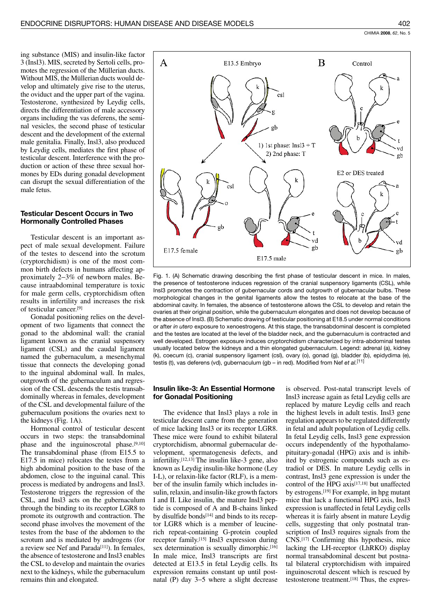ing substance (MIS) and insulin-like factor 3 (Insl3). MIS, secreted by Sertoli cells, promotes the regression of the Müllerian ducts. Without MIS, the Müllerian ducts would develop and ultimately give rise to the uterus, the oviduct and the upper part of the vagina. Testosterone, synthesized by Leydig cells, directs the differentiation of male accessory organs including the vas deferens, the seminal vesicles, the second phase of testicular descent and the development of the external male genitalia. Finally, Insl3, also produced by Leydig cells, mediates the first phase of testicular descent. Interference with the production or action of these three sexual hormones by EDs during gonadal development can disrupt the sexual differentiation of the male fetus.

### **Testicular Descent Occurs in Two Hormonally Controlled Phases**

Testicular descent is an important aspect of male sexual development. Failure of the testes to descend into the scrotum (cryptorchidism) is one of the most common birth defects in humans affecting approximately 2–3% of newborn males. Because intraabdominal temperature is toxic for male germ cells, cryptorchidism often results in infertility and increases the risk of testicular cancer.<sup>[9]</sup>

Gonadal positioning relies on the development of two ligaments that connect the gonad to the abdominal wall: the cranial ligament known as the cranial suspensory ligament (CSL) and the caudal ligament named the gubernaculum, a mesenchymal tissue that connects the developing gonad to the inguinal abdominal wall. In males, outgrowth of the gubernaculum and regression of the CSL descends the testis transabdominally whereas in females, development of the CSL and developmental failure of the gubernaculum positions the ovaries next to the kidneys (Fig. 1A).

Hormonal control of testicular descent occurs in two steps: the transabdominal phase and the inguinoscrotal phase.[9,10] The transabdominal phase (from E15.5 to E17.5 in mice) relocates the testes from a high abdominal position to the base of the abdomen, close to the inguinal canal. This process is mediated by androgens and Insl3. Testosterone triggers the regression of the CSL, and Insl3 acts on the gubernaculum through the binding to its receptor LGR8 to promote its outgrowth and contraction. The second phase involves the movement of the testes from the base of the abdomen to the scrotum and is mediated by androgens (for a review see Nef and Parada<sup>[11]</sup>). In females, the absence of testosterone and Insl3 enables the CSL to develop and maintain the ovaries next to the kidneys, while the gubernaculum remains thin and elongated.



Fig. 1. (A) Schematic drawing describing the first phase of testicular descent in mice. In males, the presence of testosterone induces regression of the cranial suspensory ligaments (CSL), while Insl3 promotes the contraction of gubernacular cords and outgrowth of gubernacular bulbs. These morphological changes in the genital ligaments allow the testes to relocate at the base of the abdominal cavity. In females, the absence of testosterone allows the CSL to develop and retain the ovaries at their original position, while the gubernaculum elongates and does not develop because of the absence of InsI3. (B) Schematic drawing of testicular positioning at E18.5 under normal conditions or after in utero exposure to xenoestrogens. At this stage, the transabdominal descent is completed and the testes are located at the level of the bladder neck, and the gubernaculum is contracted and well developed. Estrogen exposure induces cryptorchidism characterized by intra-abdominal testes usually located below the kidneys and a thin elongated gubernaculum. Legend: adrenal (a), kidney (k), coecum (c), cranial suspensory ligament (csl), ovary (o), gonad (g), bladder (b), epidydima (e), testis (t), vas deferens (vd), gubernaculum (gb - in red). Modified from Nef et al.<sup>[11]</sup>

#### **Insulin like-3: An Essential Hormone** for Gonadal Positioning

The evidence that Insl3 plays a role in testicular descent came from the generation of mice lacking Insl3 or its receptor LGR8. These mice were found to exhibit bilateral cryptorchidism, abnormal gubernacular development, spermatogenesis defects, and infertility.<sup>[12,13]</sup> The insulin like-3 gene, also known as Leydig insulin-like hormone (Ley I-L), or relaxin-like factor (RLF), is a member of the insulin family which includes insulin, relaxin, and insulin-like growth factors I and II. Like insulin, the mature Insl3 peptide is composed of A and B-chains linked by disulfide bonds<sup>[14]</sup> and binds to its receptor LGR8 which is a member of leucinerich repeat-containing G-protein coupled receptor family.<sup>[15]</sup> Insl3 expression during sex determination is sexually dimorphic.[16] In male mice, Insl3 transcripts are first detected at E13.5 in fetal Leydig cells. Its expression remains constant up until postnatal (P) day  $3-5$  where a slight decrease is observed. Post-natal transcript levels of Insl3 increase again as fetal Leydig cells are replaced by mature Leydig cells and reach the highest levels in adult testis. Insl3 gene regulation appears to be regulated differently in fetal and adult population of Leydig cells. In fetal Leydig cells, Insl3 gene expression occurs independently of the hypothalamopituitary-gonadal (HPG) axis and is inhibited by estrogenic compounds such as estradiol or DES. In mature Leydig cells in contrast, Insl3 gene expression is under the control of the HPG axis<sup>[17,18]</sup> but unaffected by estrogens.<sup>[19]</sup> For example, in hpg mutant mice that lack a functional HPG axis, Insl3 expression is unaffected in fetal Leydig cells whereas it is fairly absent in mature Leydig cells, suggesting that only postnatal transcription of Insl3 requires signals from the CNS.<sup>[17]</sup> Confirming this hypothesis, mice lacking the LH-receptor (LhRKO) display normal transabdominal descent but postnatal bilateral cryptorchidism with impaired inguinoscrotal descent which is rescued by testosterone treatment.<sup>[18]</sup> Thus, the expres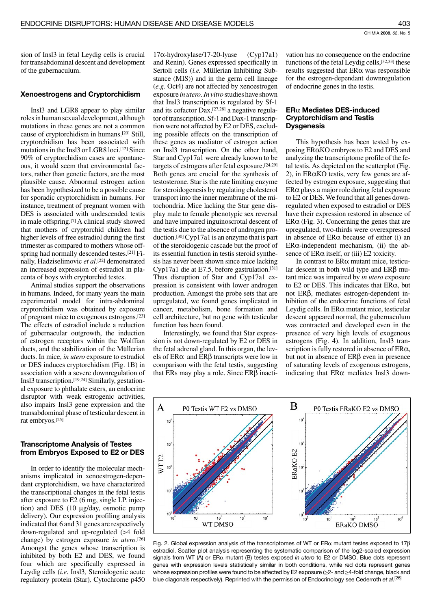sion of Insl3 in fetal Leydig cells is crucial for transabdominal descent and development of the gubernaculum.

#### **Xenoestrogens and Cryptorchidism**

Insl3 and LGR8 appear to play similar roles in human sexual development, although mutations in these genes are not a common cause of cryptorchidism in humans.<sup>[20]</sup> Still, cryptorchidism has been associated with mutations in the Insl3 or LGR8 loci.[12] Since 90% of cryptorchidism cases are spontaneous, it would seem that environmental factors, rather than genetic factors, are the most plausible cause. Abnormal estrogen action has been hypothesized to be a possible cause for sporadic cryptorchidism in humans. For instance, treatment of pregnant women with DES is associated with undescended testis in male offspring.[7] A clinical study showed that mothers of cryptorchid children had higher levels of free estradiol during the first trimester as compared to mothers whose offspring had normally descended testes.<sup>[21]</sup> Finally, Hadziselimovic et al.[22] demonstrated an increased expression of estradiol in placenta of boys with cryptorchid testes.

Animal studies support the observations in humans. Indeed, for many years the main experimental model for intra-abdominal cryptorchidism was obtained by exposure of pregnant mice to exogenous estrogens.[23] The effects of estradiol include a reduction of gubernacular outgrowth, the induction of estrogen receptors within the Wolffian ducts, and the stabilization of the Müllerian ducts. In mice, in utero exposure to estradiol or DES induces cryptorchidism (Fig. 1B) in association with a severe downregulation of Insl3 transcription.<sup>[19,24]</sup> Similarly, gestational exposure to phthalate esters, an endocrine disruptor with weak estrogenic activities, also impairs Insl3 gene expression and the transabdominal phase of testicular descent in rat embryos.[25]

### **Transcriptome Analysis of Testes** from Embryos Exposed to E2 or DES

In order to identify the molecular mechanisms implicated in xenoestrogen-dependant cryptorchidism, we have characterized the transcriptional changes in the fetal testis after exposure to E2 (6 mg, single I.P. injection) and DES (10 µg/day, osmotic pump delivery). Our expression profiling analysis indicated that 6 and 31 genes are respectively down-regulated and up-regulated (>4 fold change) by estrogen exposure in utero.<sup>[26]</sup> Amongst the genes whose transcription is inhibited by both E2 and DES, we found four which are specifically expressed in Leydig cells (*i.e.* Insl3, Steroidogenic acute regulatory protein (Star), Cytochrome p450

 $17\alpha$ -hydroxylase/17-20-lyase  $(Cyp17a1)$ and Renin). Genes expressed specifically in Sertoli cells (i.e. Müllerian Inhibiting Substance (MIS)) and in the germ cell lineage (e.g. Oct4) are not affected by xenoestrogen exposure in utero. In vitro studies have shown that Insl3 transcription is regulated by Sf-1 and its cofactor  $Dax$ , [27,28] a negative regulator of transcription. Sf-1 and Dax-1 transcription were not affected by E2 or DES, excluding possible effects on the transcription of these genes as mediator of estrogen action on Insl3 transcription. On the other hand, Star and Cyp17a1 were already known to be targets of estrogens after fetal exposure.[24,29] Both genes are crucial for the synthesis of testosterone. Star is the rate limiting enzyme for steroidogenesis by regulating cholesterol transport into the inner membrane of the mitochondria. Mice lacking the Star gene display male to female phenotypic sex reversal and have impaired inguinoscrotal descent of the testis due to the absence of androgen production.<sup>[30]</sup> Cyp17a1 is an enzyme that is part of the steroidogenic cascade but the proof of its essential function in testis steroid synthesis has never been shown since mice lacking Cyp17a1 die at E7.5, before gastrulation.[31] Thus disruption of Star and Cyp17a1 expression is consistent with lower androgen production. Amongst the probe sets that are upregulated, we found genes implicated in cancer, metabolism, bone formation and cell architecture, but no gene with testicular function has been found.

Interestingly, we found that Star expression is not down-regulated by E2 or DES in the fetal adrenal gland. In this organ, the levels of ER $\alpha$  and ER $\beta$  transcripts were low in comparison with the fetal testis, suggesting that ERs may play a role. Since  $ER\beta$  inactivation has no consequence on the endocrine functions of the fetal Leydig cells, [32,33] these results suggested that  $ER\alpha$  was responsible for the estrogen-dependant downregulation of endocrine genes in the testis.

#### $ER\alpha$  Mediates DES-induced **Cryptorchidism and Testis Dysgenesis**

This hypothesis has been tested by exposing ER $\alpha$ KO embryos to E2 and DES and analyzing the transcriptome profile of the fetal testis. As depicted on the scatterplot (Fig. 2), in ER $\alpha$ KO testis, very few genes are affected by estrogen exposure, suggesting that  $ER\alpha$  plays a major role during fetal exposure to E2 or DES. We found that all genes downregulated when exposed to estradiol or DES have their expression restored in absence of  $ER\alpha$  (Fig. 3). Concerning the genes that are upregulated, two-thirds were overexpressed in absence of  $ER\alpha$  because of either (i) an  $ER\alpha$ -independent mechanism, (ii) the absence of  $ER\alpha$  itself, or (iii) E2 toxicity.

In contrast to  $ER\alpha$  mutant mice, testicular descent in both wild type and  $ER\beta$  mutant mice was impaired by in utero exposure to E2 or DES. This indicates that  $ER\alpha$ , but not  $ER\beta$ , mediates estrogen-dependent inhibition of the endocrine functions of fetal Leydig cells. In  $ER\alpha$  mutant mice, testicular descent appeared normal, the gubernaculum was contracted and developed even in the presence of very high levels of exogenous estrogens (Fig. 4). In addition, Insl3 transcription is fully restored in absence of  $ER\alpha$ , but not in absence of  $ER\beta$  even in presence of saturating levels of exogenous estrogens, indicating that  $ER\alpha$  mediates Insl3 down-



Fig. 2. Global expression analysis of the transcriptomes of WT or ER $\alpha$  mutant testes exposed to 17 $\beta$ estradiol. Scatter plot analysis representing the systematic comparison of the log2-scaled expression signals from WT (A) or  $ER\alpha$  mutant (B) testes exposed in utero to E2 or DMSO. Blue dots represent genes with expression levels statistically similar in both conditions, while red dots represent genes whose expression profiles were found to be affected by E2 exposure (≥2- and ≥4-fold change, black and blue diagonals respectively). Reprinted with the permission of Endocrinology see Cederroth et al.<sup>[26]</sup>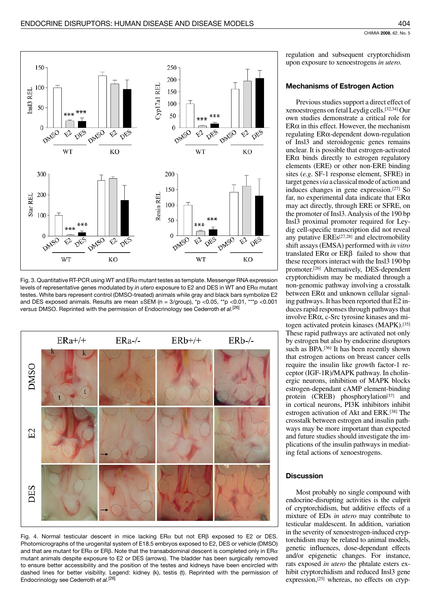

Fig. 3. Quantitative RT-PCR using WT and  $ER\alpha$  mutant testes as template. Messenger RNA expression levels of representative genes modulated by in utero exposure to E2 and DES in WT and ER $\alpha$  mutant testes. White bars represent control (DMSO-treated) animals while gray and black bars symbolize E2 and DES exposed animals. Results are mean ±SEM (n = 3/group), \*p <0.05, \*\*p <0.01, \*\*\*p <0.001 versus DMSO. Reprinted with the permission of Endocrinology see Cederroth et al.<sup>[26]</sup>



Fig. 4. Normal testicular descent in mice lacking ER $\alpha$  but not ER $\beta$  exposed to E2 or DES. Photomicrographs of the urogenital system of E18.5 embryos exposed to E2, DES or vehicle (DMSO) and that are mutant for ER $\alpha$  or ER $\beta$ . Note that the transabdominal descent is completed only in ER $\alpha$ mutant animals despite exposure to E2 or DES (arrows). The bladder has been surgically removed to ensure better accessibility and the position of the testes and kidneys have been encircled with dashed lines for better visibility. Legend: kidney (k), testis (t). Reprinted with the permission of Endocrinology see Cederroth et al.<sup>[26]</sup>

regulation and subsequent cryptorchidism upon exposure to xenoestrogens in utero.

## **Mechanisms of Estrogen Action**

Previous studies support a direct effect of xenoestrogens on fetal Leydig cells.<sup>[32,34]</sup> Our own studies demonstrate a critical role for  $ER\alpha$  in this effect. However, the mechanism regulating  $ER\alpha$ -dependent down-regulation of Insl3 and steroidogenic genes remains unclear. It is possible that estrogen-activated  $ER\alpha$  binds directly to estrogen regulatory elements (ERE) or other non-ERE binding sites (e.g. SF-1 response element, SFRE) in target genes via a classical mode of action and induces changes in gene expression.[27] So far, no experimental data indicate that  $ER\alpha$ may act directly, through ERE or SFRE, on the promoter of Insl3. Analysis of the 190 bp Insl3 proximal promoter required for Leydig cell-specific transcription did not reveal any putative EREs<sup>[27,28]</sup> and electromobility shift assays (EMSA) performed with in vitro translated  $ER\alpha$  or  $ER\beta$  failed to show that these receptors interact with the Insl3 190 bp promoter.[26] Alternatively, DES-dependent cryptorchidism may be mediated through a non-genomic pathway involving a crosstalk between  $ER\alpha$  and unknown cellular signaling pathways. It has been reported that E2 induces rapid responses through pathways that involve ERα, c-Src tyrosine kinases and mitogen activated protein kinases (MAPK).<sup>[35]</sup> These rapid pathways are activated not only by estrogen but also by endocrine disruptors such as BPA.<sup>[36]</sup> It has been recently shown that estrogen actions on breast cancer cells require the insulin like growth factor-1 receptor (IGF-1R)/MAPK pathway. In cholinergic neurons, inhibition of MAPK blocks estrogen-dependant cAMP element-binding protein (CREB) phosphorylation<sup>[37]</sup> and in cortical neurons, PI3K inhibitors inhibit estrogen activation of Akt and ERK.[38] The crosstalk between estrogen and insulin pathways may be more important than expected and future studies should investigate the implications of the insulin pathways in mediating fetal actions of xenoestrogens.

## **Discussion**

Most probably no single compound with endocrine-disrupting activities is the culprit of cryptorchidism, but additive effects of a mixture of EDs in utero may contribute to testicular maldescent. In addition, variation in the severity of xenoestrogen-induced cryptorchidism may be related to animal models, genetic influences, dose-dependant effects and/or epigenetic changes. For instance, rats exposed in utero the phtalate esters exhibit cryptorchidism and reduced Insl3 gene expression, [25] whereas, no effects on cryp-